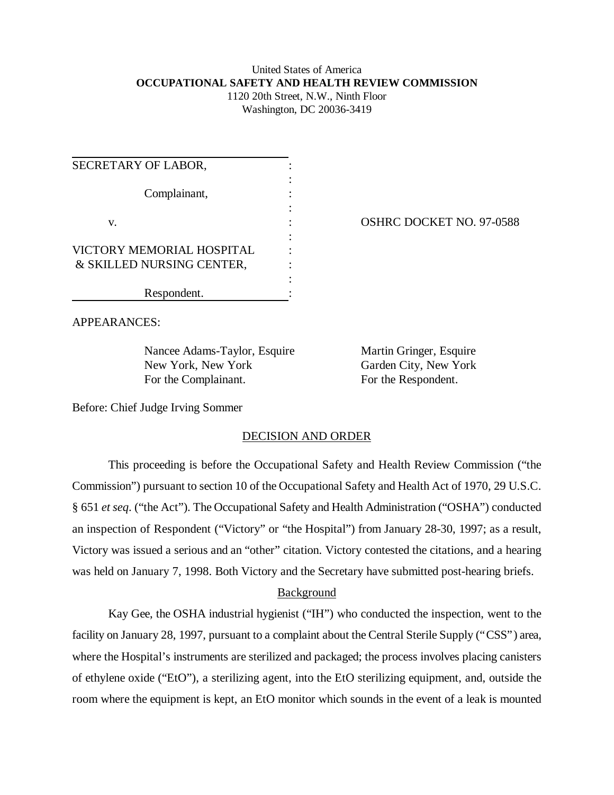# United States of America **OCCUPATIONAL SAFETY AND HEALTH REVIEW COMMISSION** 1120 20th Street, N.W., Ninth Floor

Washington, DC 20036-3419

| SECRETARY OF LABOR,       |  |
|---------------------------|--|
|                           |  |
| Complainant,              |  |
|                           |  |
| V.                        |  |
|                           |  |
| VICTORY MEMORIAL HOSPITAL |  |
| & SKILLED NURSING CENTER, |  |
|                           |  |
| Respondent.               |  |

OSHRC DOCKET NO. 97-0588

APPEARANCES:

Nancee Adams-Taylor, Esquire Martin Gringer, Esquire New York, New York Garden City, New York For the Complainant. For the Respondent.

Before: Chief Judge Irving Sommer

### DECISION AND ORDER

This proceeding is before the Occupational Safety and Health Review Commission ("the Commission") pursuant to section 10 of the Occupational Safety and Health Act of 1970, 29 U.S.C. § 651 *et seq*. ("the Act"). The Occupational Safety and Health Administration ("OSHA") conducted an inspection of Respondent ("Victory" or "the Hospital") from January 28-30, 1997; as a result, Victory was issued a serious and an "other" citation. Victory contested the citations, and a hearing was held on January 7, 1998. Both Victory and the Secretary have submitted post-hearing briefs.

# Background

Kay Gee, the OSHA industrial hygienist ("IH") who conducted the inspection, went to the facility on January 28, 1997, pursuant to a complaint about the Central Sterile Supply ("CSS") area, where the Hospital's instruments are sterilized and packaged; the process involves placing canisters of ethylene oxide ("EtO"), a sterilizing agent, into the EtO sterilizing equipment, and, outside the room where the equipment is kept, an EtO monitor which sounds in the event of a leak is mounted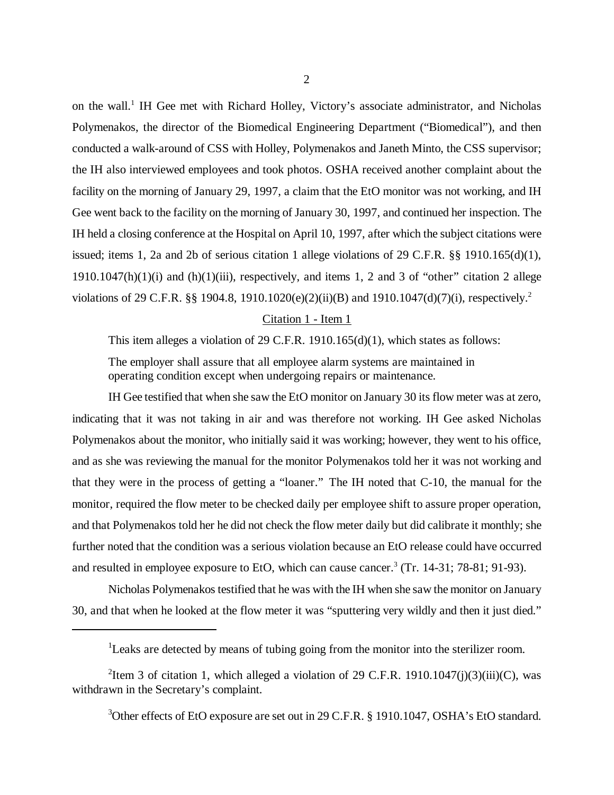on the wall.<sup>1</sup> IH Gee met with Richard Holley, Victory's associate administrator, and Nicholas Polymenakos, the director of the Biomedical Engineering Department ("Biomedical"), and then conducted a walk-around of CSS with Holley, Polymenakos and Janeth Minto, the CSS supervisor; the IH also interviewed employees and took photos. OSHA received another complaint about the facility on the morning of January 29, 1997, a claim that the EtO monitor was not working, and IH Gee went back to the facility on the morning of January 30, 1997, and continued her inspection. The IH held a closing conference at the Hospital on April 10, 1997, after which the subject citations were issued; items 1, 2a and 2b of serious citation 1 allege violations of 29 C.F.R.  $\S$ § 1910.165(d)(1),  $1910.1047(h)(1)(i)$  and  $(h)(1)(iii)$ , respectively, and items 1, 2 and 3 of "other" citation 2 allege violations of 29 C.F.R. §§ 1904.8, 1910.1020(e)(2)(ii)(B) and 1910.1047(d)(7)(i), respectively.<sup>2</sup>

### Citation 1 - Item 1

This item alleges a violation of 29 C.F.R. 1910.165(d)(1), which states as follows:

The employer shall assure that all employee alarm systems are maintained in operating condition except when undergoing repairs or maintenance.

IH Gee testified that when she saw the EtO monitor on January 30 its flow meter was at zero, indicating that it was not taking in air and was therefore not working. IH Gee asked Nicholas Polymenakos about the monitor, who initially said it was working; however, they went to his office, and as she was reviewing the manual for the monitor Polymenakos told her it was not working and that they were in the process of getting a "loaner." The IH noted that C-10, the manual for the monitor, required the flow meter to be checked daily per employee shift to assure proper operation, and that Polymenakos told her he did not check the flow meter daily but did calibrate it monthly; she further noted that the condition was a serious violation because an EtO release could have occurred and resulted in employee exposure to EtO, which can cause cancer.<sup>3</sup> (Tr. 14-31; 78-81; 91-93).

Nicholas Polymenakos testified that he was with the IH when she saw the monitor on January 30, and that when he looked at the flow meter it was "sputtering very wildly and then it just died."

<sup>3</sup>Other effects of EtO exposure are set out in 29 C.F.R. § 1910.1047, OSHA's EtO standard.

<sup>&</sup>lt;sup>1</sup>Leaks are detected by means of tubing going from the monitor into the sterilizer room.

<sup>&</sup>lt;sup>2</sup>Item 3 of citation 1, which alleged a violation of 29 C.F.R. 1910.1047(j)(3)(iii)(C), was withdrawn in the Secretary's complaint.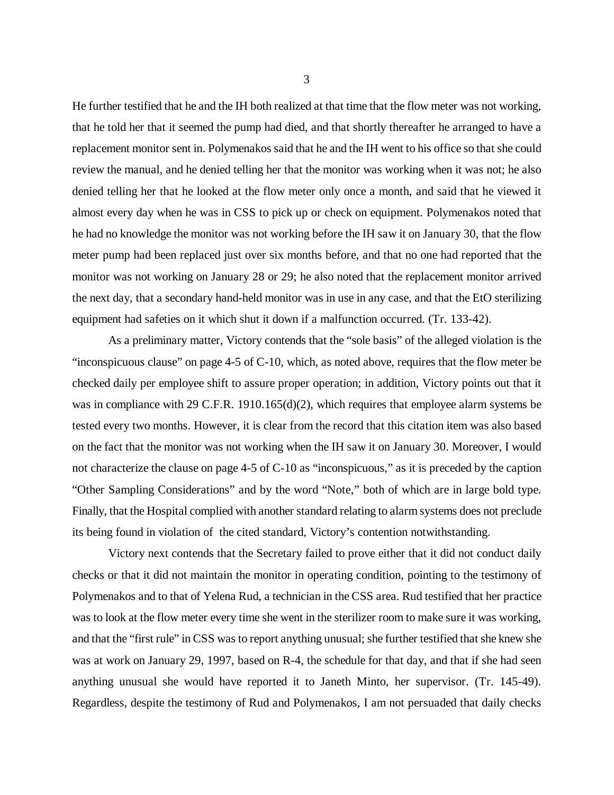He further testified that he and the IH both realized at that time that the flow meter was not working, that he told her that it seemed the pump had died, and that shortly thereafter he arranged to have a replacement monitor sent in. Polymenakos said that he and the IH went to his office so that she could review the manual, and he denied telling her that the monitor was working when it was not; he also denied telling her that he looked at the flow meter only once a month, and said that he viewed it almost every day when he was in CSS to pick up or check on equipment. Polymenakos noted that he had no knowledge the monitor was not working before the IH saw it on January 30, that the flow meter pump had been replaced just over six months before, and that no one had reported that the monitor was not working on January 28 or 29; he also noted that the replacement monitor arrived the next day, that a secondary hand-held monitor was in use in any case, and that the EtO sterilizing equipment had safeties on it which shut it down if a malfunction occurred. (Tr. 133-42).

As a preliminary matter, Victory contends that the "sole basis" of the alleged violation is the "inconspicuous clause" on page 4-5 of C-10, which, as noted above, requires that the flow meter be checked daily per employee shift to assure proper operation; in addition, Victory points out that it was in compliance with 29 C.F.R. 1910.165(d)(2), which requires that employee alarm systems be tested every two months. However, it is clear from the record that this citation item was also based on the fact that the monitor was not working when the IH saw it on January 30. Moreover, I would not characterize the clause on page 4-5 of C-10 as "inconspicuous," as it is preceded by the caption "Other Sampling Considerations" and by the word "Note," both of which are in large bold type. Finally, that the Hospital complied with another standard relating to alarm systems does not preclude its being found in violation of the cited standard, Victory's contention notwithstanding.

Victory next contends that the Secretary failed to prove either that it did not conduct daily checks or that it did not maintain the monitor in operating condition, pointing to the testimony of Polymenakos and to that of Yelena Rud, a technician in the CSS area. Rud testified that her practice was to look at the flow meter every time she went in the sterilizer room to make sure it was working, and that the "first rule" in CSS was to report anything unusual; she further testified that she knew she was at work on January 29, 1997, based on R-4, the schedule for that day, and that if she had seen anything unusual she would have reported it to Janeth Minto, her supervisor. (Tr. 145-49). Regardless, despite the testimony of Rud and Polymenakos, I am not persuaded that daily checks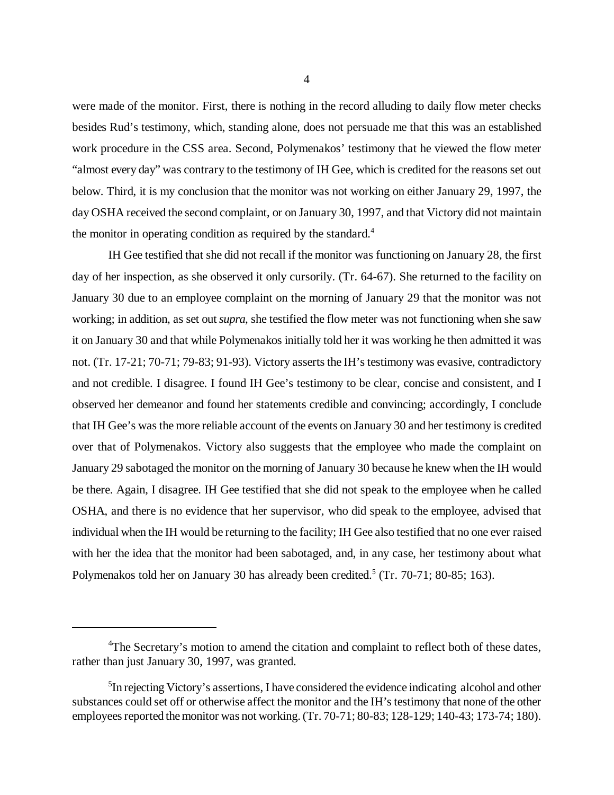were made of the monitor. First, there is nothing in the record alluding to daily flow meter checks besides Rud's testimony, which, standing alone, does not persuade me that this was an established work procedure in the CSS area. Second, Polymenakos' testimony that he viewed the flow meter "almost every day" was contrary to the testimony of IH Gee, which is credited for the reasons set out below. Third, it is my conclusion that the monitor was not working on either January 29, 1997, the day OSHA received the second complaint, or on January 30, 1997, and that Victory did not maintain the monitor in operating condition as required by the standard.<sup>4</sup>

IH Gee testified that she did not recall if the monitor was functioning on January 28, the first day of her inspection, as she observed it only cursorily. (Tr. 64-67). She returned to the facility on January 30 due to an employee complaint on the morning of January 29 that the monitor was not working; in addition, as set out *supra*, she testified the flow meter was not functioning when she saw it on January 30 and that while Polymenakos initially told her it was working he then admitted it was not. (Tr. 17-21; 70-71; 79-83; 91-93). Victory asserts the IH's testimony was evasive, contradictory and not credible. I disagree. I found IH Gee's testimony to be clear, concise and consistent, and I observed her demeanor and found her statements credible and convincing; accordingly, I conclude that IH Gee's was the more reliable account of the events on January 30 and her testimony is credited over that of Polymenakos. Victory also suggests that the employee who made the complaint on January 29 sabotaged the monitor on the morning of January 30 because he knew when the IH would be there. Again, I disagree. IH Gee testified that she did not speak to the employee when he called OSHA, and there is no evidence that her supervisor, who did speak to the employee, advised that individual when the IH would be returning to the facility; IH Gee also testified that no one ever raised with her the idea that the monitor had been sabotaged, and, in any case, her testimony about what Polymenakos told her on January 30 has already been credited.<sup>5</sup> (Tr. 70-71; 80-85; 163).

<sup>&</sup>lt;sup>4</sup>The Secretary's motion to amend the citation and complaint to reflect both of these dates, rather than just January 30, 1997, was granted.

<sup>&</sup>lt;sup>5</sup>In rejecting Victory's assertions, I have considered the evidence indicating alcohol and other substances could set off or otherwise affect the monitor and the IH's testimony that none of the other employees reported the monitor was not working. (Tr. 70-71; 80-83; 128-129; 140-43; 173-74; 180).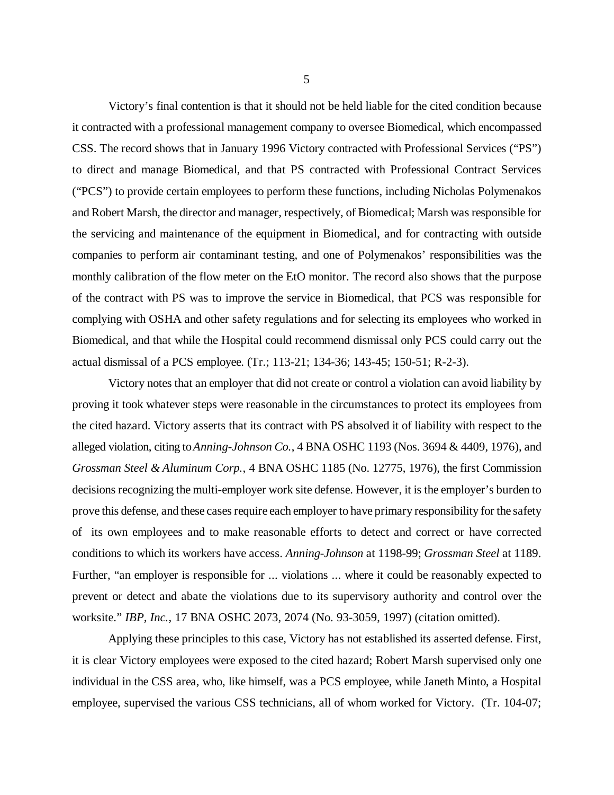Victory's final contention is that it should not be held liable for the cited condition because it contracted with a professional management company to oversee Biomedical, which encompassed CSS. The record shows that in January 1996 Victory contracted with Professional Services ("PS") to direct and manage Biomedical, and that PS contracted with Professional Contract Services ("PCS") to provide certain employees to perform these functions, including Nicholas Polymenakos and Robert Marsh, the director and manager, respectively, of Biomedical; Marsh was responsible for the servicing and maintenance of the equipment in Biomedical, and for contracting with outside companies to perform air contaminant testing, and one of Polymenakos' responsibilities was the monthly calibration of the flow meter on the EtO monitor. The record also shows that the purpose of the contract with PS was to improve the service in Biomedical, that PCS was responsible for complying with OSHA and other safety regulations and for selecting its employees who worked in Biomedical, and that while the Hospital could recommend dismissal only PCS could carry out the actual dismissal of a PCS employee. (Tr.; 113-21; 134-36; 143-45; 150-51; R-2-3).

Victory notes that an employer that did not create or control a violation can avoid liability by proving it took whatever steps were reasonable in the circumstances to protect its employees from the cited hazard. Victory asserts that its contract with PS absolved it of liability with respect to the alleged violation, citing to *Anning-Johnson Co.*, 4 BNA OSHC 1193 (Nos. 3694 & 4409, 1976), and *Grossman Steel & Aluminum Corp.*, 4 BNA OSHC 1185 (No. 12775, 1976), the first Commission decisions recognizing the multi-employer work site defense. However, it is the employer's burden to prove this defense, and these cases require each employer to have primary responsibility for the safety of its own employees and to make reasonable efforts to detect and correct or have corrected conditions to which its workers have access. *Anning-Johnson* at 1198-99; *Grossman Steel* at 1189. Further, "an employer is responsible for ... violations ... where it could be reasonably expected to prevent or detect and abate the violations due to its supervisory authority and control over the worksite." *IBP, Inc.*, 17 BNA OSHC 2073, 2074 (No. 93-3059, 1997) (citation omitted).

Applying these principles to this case, Victory has not established its asserted defense. First, it is clear Victory employees were exposed to the cited hazard; Robert Marsh supervised only one individual in the CSS area, who, like himself, was a PCS employee, while Janeth Minto, a Hospital employee, supervised the various CSS technicians, all of whom worked for Victory. (Tr. 104-07;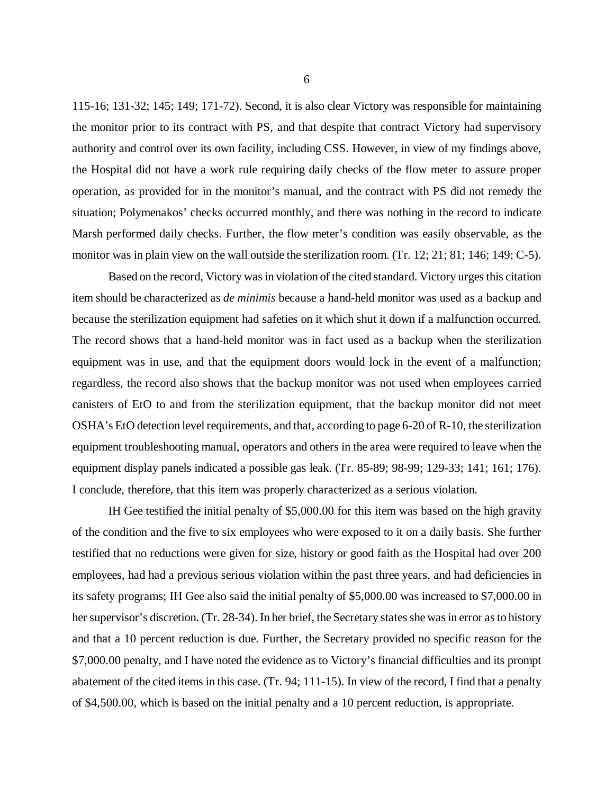115-16; 131-32; 145; 149; 171-72). Second, it is also clear Victory was responsible for maintaining the monitor prior to its contract with PS, and that despite that contract Victory had supervisory authority and control over its own facility, including CSS. However, in view of my findings above, the Hospital did not have a work rule requiring daily checks of the flow meter to assure proper operation, as provided for in the monitor's manual, and the contract with PS did not remedy the situation; Polymenakos' checks occurred monthly, and there was nothing in the record to indicate Marsh performed daily checks. Further, the flow meter's condition was easily observable, as the monitor was in plain view on the wall outside the sterilization room. (Tr. 12; 21; 81; 146; 149; C-5).

Based on the record, Victory was in violation of the cited standard. Victory urges this citation item should be characterized as *de minimis* because a hand-held monitor was used as a backup and because the sterilization equipment had safeties on it which shut it down if a malfunction occurred. The record shows that a hand-held monitor was in fact used as a backup when the sterilization equipment was in use, and that the equipment doors would lock in the event of a malfunction; regardless, the record also shows that the backup monitor was not used when employees carried canisters of EtO to and from the sterilization equipment, that the backup monitor did not meet OSHA's EtO detection level requirements, and that, according to page 6-20 of R-10, the sterilization equipment troubleshooting manual, operators and others in the area were required to leave when the equipment display panels indicated a possible gas leak. (Tr. 85-89; 98-99; 129-33; 141; 161; 176). I conclude, therefore, that this item was properly characterized as a serious violation.

IH Gee testified the initial penalty of \$5,000.00 for this item was based on the high gravity of the condition and the five to six employees who were exposed to it on a daily basis. She further testified that no reductions were given for size, history or good faith as the Hospital had over 200 employees, had had a previous serious violation within the past three years, and had deficiencies in its safety programs; IH Gee also said the initial penalty of \$5,000.00 was increased to \$7,000.00 in her supervisor's discretion. (Tr. 28-34). In her brief, the Secretary states she was in error as to history and that a 10 percent reduction is due. Further, the Secretary provided no specific reason for the \$7,000.00 penalty, and I have noted the evidence as to Victory's financial difficulties and its prompt abatement of the cited items in this case. (Tr. 94; 111-15). In view of the record, I find that a penalty of \$4,500.00, which is based on the initial penalty and a 10 percent reduction, is appropriate.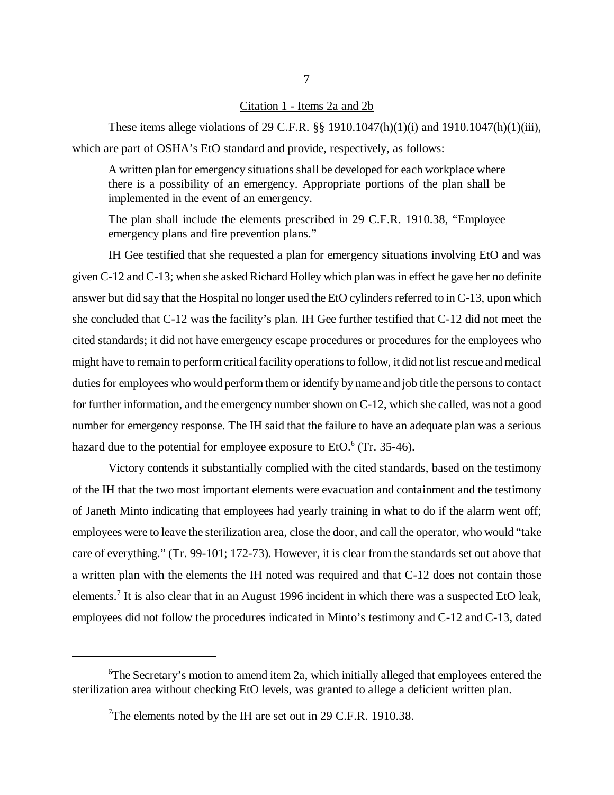### Citation 1 - Items 2a and 2b

These items allege violations of 29 C.F.R. §§ 1910.1047(h)(1)(i) and 1910.1047(h)(1)(iii), which are part of OSHA's EtO standard and provide, respectively, as follows:

A written plan for emergency situations shall be developed for each workplace where there is a possibility of an emergency. Appropriate portions of the plan shall be implemented in the event of an emergency.

The plan shall include the elements prescribed in 29 C.F.R. 1910.38, "Employee emergency plans and fire prevention plans."

IH Gee testified that she requested a plan for emergency situations involving EtO and was given C-12 and C-13; when she asked Richard Holley which plan was in effect he gave her no definite answer but did say that the Hospital no longer used the EtO cylinders referred to in C-13, upon which she concluded that C-12 was the facility's plan. IH Gee further testified that C-12 did not meet the cited standards; it did not have emergency escape procedures or procedures for the employees who might have to remain to perform critical facility operations to follow, it did not list rescue and medical duties for employees who would perform them or identify by name and job title the persons to contact for further information, and the emergency number shown on C-12, which she called, was not a good number for emergency response. The IH said that the failure to have an adequate plan was a serious hazard due to the potential for employee exposure to EtO. $6$  (Tr. 35-46).

Victory contends it substantially complied with the cited standards, based on the testimony of the IH that the two most important elements were evacuation and containment and the testimony of Janeth Minto indicating that employees had yearly training in what to do if the alarm went off; employees were to leave the sterilization area, close the door, and call the operator, who would "take care of everything." (Tr. 99-101; 172-73). However, it is clear from the standards set out above that a written plan with the elements the IH noted was required and that C-12 does not contain those elements.<sup>7</sup> It is also clear that in an August 1996 incident in which there was a suspected EtO leak, employees did not follow the procedures indicated in Minto's testimony and C-12 and C-13, dated

 ${}^{6}$ The Secretary's motion to amend item 2a, which initially alleged that employees entered the sterilization area without checking EtO levels, was granted to allege a deficient written plan.

<sup>&</sup>lt;sup>7</sup>The elements noted by the IH are set out in 29 C.F.R. 1910.38.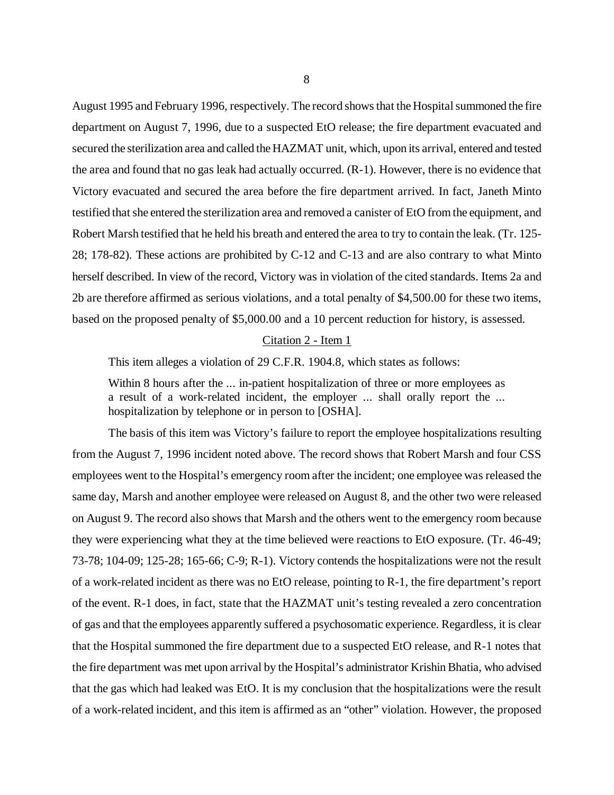August 1995 and February 1996, respectively. The record shows that the Hospital summoned the fire department on August 7, 1996, due to a suspected EtO release; the fire department evacuated and secured the sterilization area and called the HAZMAT unit, which, upon its arrival, entered and tested the area and found that no gas leak had actually occurred. (R-1). However, there is no evidence that Victory evacuated and secured the area before the fire department arrived. In fact, Janeth Minto testified that she entered the sterilization area and removed a canister of EtO from the equipment, and Robert Marsh testified that he held his breath and entered the area to try to contain the leak. (Tr. 125- 28; 178-82). These actions are prohibited by C-12 and C-13 and are also contrary to what Minto herself described. In view of the record, Victory was in violation of the cited standards. Items 2a and 2b are therefore affirmed as serious violations, and a total penalty of \$4,500.00 for these two items, based on the proposed penalty of \$5,000.00 and a 10 percent reduction for history, is assessed.

#### Citation 2 - Item 1

This item alleges a violation of 29 C.F.R. 1904.8, which states as follows:

Within 8 hours after the ... in-patient hospitalization of three or more employees as a result of a work-related incident, the employer ... shall orally report the ... hospitalization by telephone or in person to [OSHA].

The basis of this item was Victory's failure to report the employee hospitalizations resulting from the August 7, 1996 incident noted above. The record shows that Robert Marsh and four CSS employees went to the Hospital's emergency room after the incident; one employee was released the same day, Marsh and another employee were released on August 8, and the other two were released on August 9. The record also shows that Marsh and the others went to the emergency room because they were experiencing what they at the time believed were reactions to EtO exposure. (Tr. 46-49; 73-78; 104-09; 125-28; 165-66; C-9; R-1). Victory contends the hospitalizations were not the result of a work-related incident as there was no EtO release, pointing to R-1, the fire department's report of the event. R-1 does, in fact, state that the HAZMAT unit's testing revealed a zero concentration of gas and that the employees apparently suffered a psychosomatic experience. Regardless, it is clear that the Hospital summoned the fire department due to a suspected EtO release, and R-1 notes that the fire department was met upon arrival by the Hospital's administrator Krishin Bhatia, who advised that the gas which had leaked was EtO. It is my conclusion that the hospitalizations were the result of a work-related incident, and this item is affirmed as an "other" violation. However, the proposed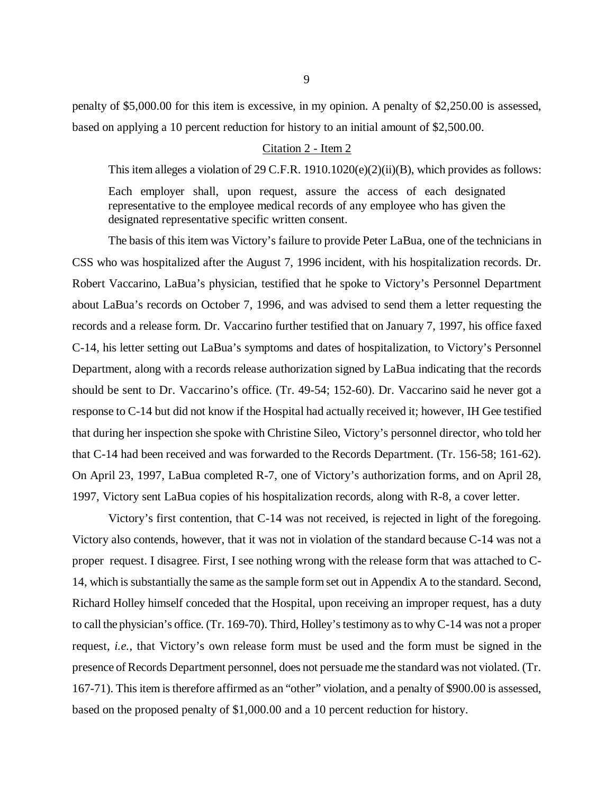penalty of \$5,000.00 for this item is excessive, in my opinion. A penalty of \$2,250.00 is assessed, based on applying a 10 percent reduction for history to an initial amount of \$2,500.00.

### Citation 2 - Item 2

This item alleges a violation of 29 C.F.R. 1910.1020(e)(2)(ii)(B), which provides as follows:

Each employer shall, upon request, assure the access of each designated representative to the employee medical records of any employee who has given the designated representative specific written consent.

The basis of this item was Victory's failure to provide Peter LaBua, one of the technicians in CSS who was hospitalized after the August 7, 1996 incident, with his hospitalization records. Dr. Robert Vaccarino, LaBua's physician, testified that he spoke to Victory's Personnel Department about LaBua's records on October 7, 1996, and was advised to send them a letter requesting the records and a release form. Dr. Vaccarino further testified that on January 7, 1997, his office faxed C-14, his letter setting out LaBua's symptoms and dates of hospitalization, to Victory's Personnel Department, along with a records release authorization signed by LaBua indicating that the records should be sent to Dr. Vaccarino's office. (Tr. 49-54; 152-60). Dr. Vaccarino said he never got a response to C-14 but did not know if the Hospital had actually received it; however, IH Gee testified that during her inspection she spoke with Christine Sileo, Victory's personnel director, who told her that C-14 had been received and was forwarded to the Records Department. (Tr. 156-58; 161-62). On April 23, 1997, LaBua completed R-7, one of Victory's authorization forms, and on April 28, 1997, Victory sent LaBua copies of his hospitalization records, along with R-8, a cover letter.

Victory's first contention, that C-14 was not received, is rejected in light of the foregoing. Victory also contends, however, that it was not in violation of the standard because C-14 was not a proper request. I disagree. First, I see nothing wrong with the release form that was attached to C-14, which is substantially the same as the sample form set out in Appendix A to the standard. Second, Richard Holley himself conceded that the Hospital, upon receiving an improper request, has a duty to call the physician's office. (Tr. 169-70). Third, Holley's testimony as to why C-14 was not a proper request, *i.e.*, that Victory's own release form must be used and the form must be signed in the presence of Records Department personnel, does not persuade me the standard was not violated. (Tr. 167-71). This item is therefore affirmed as an "other" violation, and a penalty of \$900.00 is assessed, based on the proposed penalty of \$1,000.00 and a 10 percent reduction for history.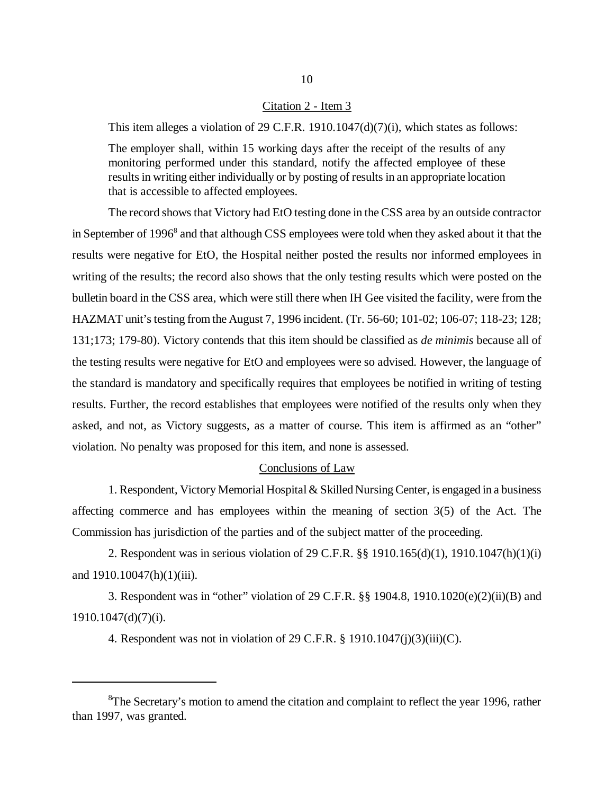### Citation 2 - Item 3

This item alleges a violation of 29 C.F.R. 1910.1047(d)(7)(i), which states as follows:

The employer shall, within 15 working days after the receipt of the results of any monitoring performed under this standard, notify the affected employee of these results in writing either individually or by posting of results in an appropriate location that is accessible to affected employees.

The record shows that Victory had EtO testing done in the CSS area by an outside contractor in September of 1996<sup>8</sup> and that although CSS employees were told when they asked about it that the results were negative for EtO, the Hospital neither posted the results nor informed employees in writing of the results; the record also shows that the only testing results which were posted on the bulletin board in the CSS area, which were still there when IH Gee visited the facility, were from the HAZMAT unit's testing from the August 7, 1996 incident. (Tr. 56-60; 101-02; 106-07; 118-23; 128; 131;173; 179-80). Victory contends that this item should be classified as *de minimis* because all of the testing results were negative for EtO and employees were so advised. However, the language of the standard is mandatory and specifically requires that employees be notified in writing of testing results. Further, the record establishes that employees were notified of the results only when they asked, and not, as Victory suggests, as a matter of course. This item is affirmed as an "other" violation. No penalty was proposed for this item, and none is assessed.

### Conclusions of Law

1. Respondent, Victory Memorial Hospital & Skilled Nursing Center, is engaged in a business affecting commerce and has employees within the meaning of section 3(5) of the Act. The Commission has jurisdiction of the parties and of the subject matter of the proceeding.

2. Respondent was in serious violation of 29 C.F.R. §§ 1910.165(d)(1), 1910.1047(h)(1)(i) and  $1910.10047(h)(1)(iii)$ .

3. Respondent was in "other" violation of 29 C.F.R. §§ 1904.8, 1910.1020(e)(2)(ii)(B) and 1910.1047(d)(7)(i).

4. Respondent was not in violation of 29 C.F.R.  $\S$  1910.1047(j)(3)(iii)(C).

<sup>&</sup>lt;sup>8</sup>The Secretary's motion to amend the citation and complaint to reflect the year 1996, rather than 1997, was granted.